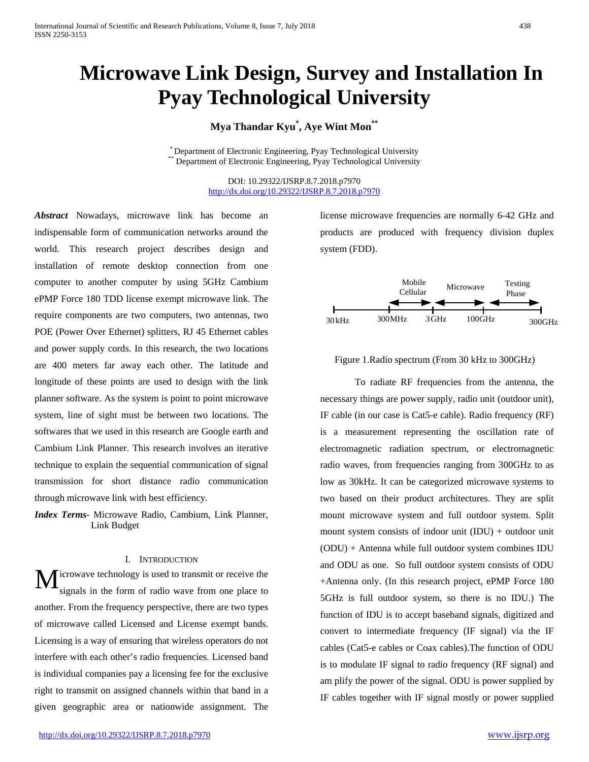# **Microwave Link Design, Survey and Installation In Pyay Technological University**

**Mya Thandar Kyu\* , Aye Wint Mon\*\***

\* Department of Electronic Engineering, Pyay Technological University \*\* Department of Electronic Engineering, Pyay Technological University

DOI: 10.29322/IJSRP.8.7.2018.p7970 <http://dx.doi.org/10.29322/IJSRP.8.7.2018.p7970>

*Abstract* Nowadays, microwave link has become an indispensable form of communication networks around the world. This research project describes design and installation of remote desktop connection from one computer to another computer by using 5GHz Cambium ePMP Force 180 TDD license exempt microwave link. The require components are two computers, two antennas, two POE (Power Over Ethernet) splitters, RJ 45 Ethernet cables and power supply cords. In this research, the two locations are 400 meters far away each other. The latitude and longitude of these points are used to design with the link planner software. As the system is point to point microwave system, line of sight must be between two locations. The softwares that we used in this research are Google earth and Cambium Link Planner. This research involves an iterative technique to explain the sequential communication of signal transmission for short distance radio communication through microwave link with best efficiency.

*Index Terms*- Microwave Radio, Cambium, Link Planner, Link Budget

## I. INTRODUCTION

icrowave technology is used to transmit or receive the signals in the form of radio wave from one place to another. From the frequency perspective, there are two types of microwave called Licensed and License exempt bands. Licensing is a way of ensuring that wireless operators do not interfere with each other's radio frequencies. Licensed band is individual companies pay a licensing fee for the exclusive right to transmit on assigned channels within that band in a given geographic area or nationwide assignment. The M

license microwave frequencies are normally 6-42 GHz and products are produced with frequency division duplex system (FDD).



## Figure 1.Radio spectrum (From 30 kHz to 300GHz)

To radiate RF frequencies from the antenna, the necessary things are power supply, radio unit (outdoor unit), IF cable (in our case is Cat5-e cable). Radio frequency (RF) is a measurement representing the oscillation rate of electromagnetic radiation spectrum, or electromagnetic radio waves, from frequencies ranging from 300GHz to as low as 30kHz. It can be categorized microwave systems to two based on their product architectures. They are split mount microwave system and full outdoor system. Split mount system consists of indoor unit (IDU) + outdoor unit (ODU) + Antenna while full outdoor system combines IDU and ODU as one. So full outdoor system consists of ODU +Antenna only. (In this research project, ePMP Force 180 5GHz is full outdoor system, so there is no IDU.) The function of IDU is to accept baseband signals, digitized and convert to intermediate frequency (IF signal) via the IF cables (Cat5-e cables or Coax cables).The function of ODU is to modulate IF signal to radio frequency (RF signal) and am plify the power of the signal. ODU is power supplied by IF cables together with IF signal mostly or power supplied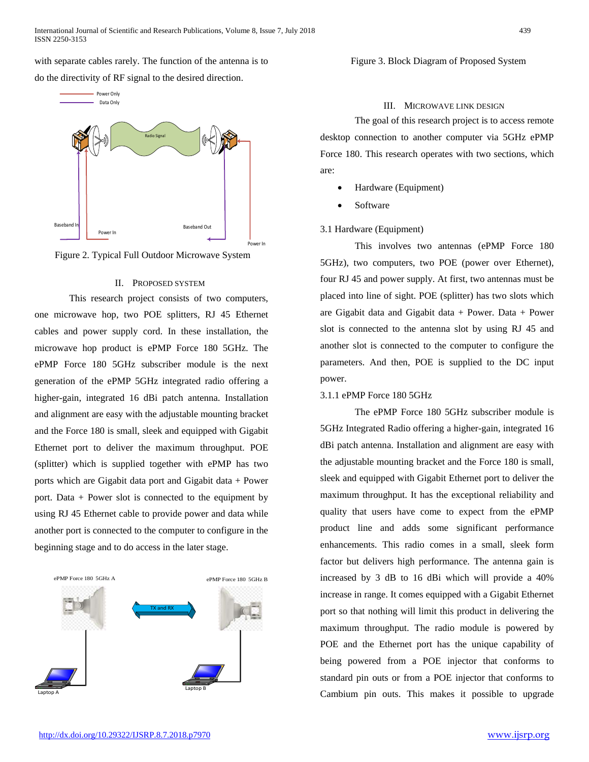with separate cables rarely. The function of the antenna is to do the directivity of RF signal to the desired direction.



Figure 2. Typical Full Outdoor Microwave System

## II. PROPOSED SYSTEM

This research project consists of two computers, one microwave hop, two POE splitters, RJ 45 Ethernet cables and power supply cord. In these installation, the microwave hop product is ePMP Force 180 5GHz. The ePMP Force 180 5GHz subscriber module is the next generation of the ePMP 5GHz integrated radio offering a higher-gain, integrated 16 dBi patch antenna. Installation and alignment are easy with the adjustable mounting bracket and the Force 180 is small, sleek and equipped with Gigabit Ethernet port to deliver the maximum throughput. POE (splitter) which is supplied together with ePMP has two ports which are Gigabit data port and Gigabit data + Power port. Data + Power slot is connected to the equipment by using RJ 45 Ethernet cable to provide power and data while another port is connected to the computer to configure in the beginning stage and to do access in the later stage.



Figure 3. Block Diagram of Proposed System

III. MICROWAVE LINK DESIGN

The goal of this research project is to access remote desktop connection to another computer via 5GHz ePMP Force 180. This research operates with two sections, which are:

- Hardware (Equipment)
- **Software**

## 3.1 Hardware (Equipment)

This involves two antennas (ePMP Force 180 5GHz), two computers, two POE (power over Ethernet), four RJ 45 and power supply. At first, two antennas must be placed into line of sight. POE (splitter) has two slots which are Gigabit data and Gigabit data  $+$  Power. Data  $+$  Power slot is connected to the antenna slot by using RJ 45 and another slot is connected to the computer to configure the parameters. And then, POE is supplied to the DC input power.

### 3.1.1 ePMP Force 180 5GHz

The ePMP Force 180 5GHz subscriber module is 5GHz Integrated Radio offering a higher-gain, integrated 16 dBi patch antenna. Installation and alignment are easy with the adjustable mounting bracket and the Force 180 is small, sleek and equipped with Gigabit Ethernet port to deliver the maximum throughput. It has the exceptional reliability and quality that users have come to expect from the ePMP product line and adds some significant performance enhancements. This radio comes in a small, sleek form factor but delivers high performance. The antenna gain is increased by 3 dB to 16 dBi which will provide a 40% increase in range. It comes equipped with a Gigabit Ethernet port so that nothing will limit this product in delivering the maximum throughput. The radio module is powered by POE and the Ethernet port has the unique capability of being powered from a POE injector that conforms to standard pin outs or from a POE injector that conforms to Cambium pin outs. This makes it possible to upgrade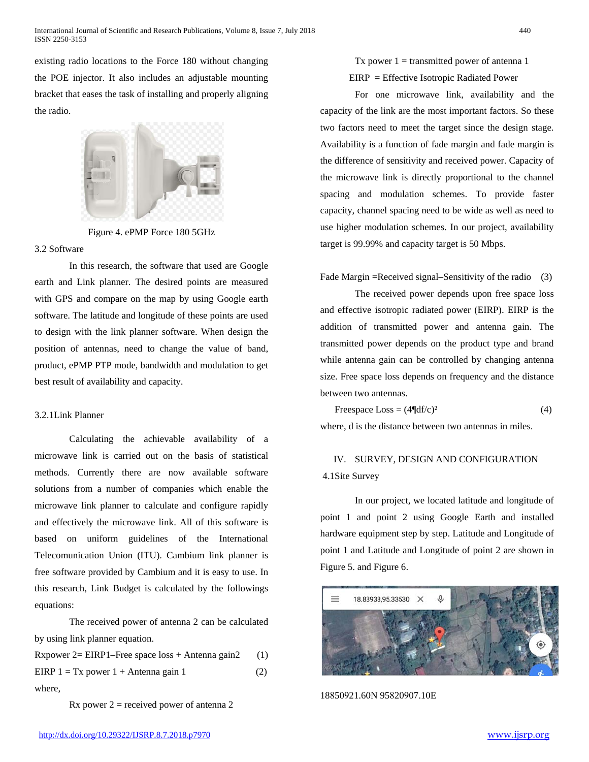existing radio locations to the Force 180 without changing the POE injector. It also includes an adjustable mounting bracket that eases the task of installing and properly aligning the radio.



Figure 4. ePMP Force 180 5GHz

## 3.2 Software

In this research, the software that used are Google earth and Link planner. The desired points are measured with GPS and compare on the map by using Google earth software. The latitude and longitude of these points are used to design with the link planner software. When design the position of antennas, need to change the value of band, product, ePMP PTP mode, bandwidth and modulation to get best result of availability and capacity.

## 3.2.1Link Planner

Calculating the achievable availability of a microwave link is carried out on the basis of statistical methods. Currently there are now available software solutions from a number of companies which enable the microwave link planner to calculate and configure rapidly and effectively the microwave link. All of this software is based on uniform guidelines of the International Telecomunication Union (ITU). Cambium link planner is free software provided by Cambium and it is easy to use. In this research, Link Budget is calculated by the followings equations:

The received power of antenna 2 can be calculated by using link planner equation.

| Rxpower $2= EIRP1$ -Free space loss + Antenna gain2 | (1) |
|-----------------------------------------------------|-----|
| EIRP $1 = Tx$ power $1 +$ Antenna gain 1            | (2) |
| where,                                              |     |

 $Rx$  power  $2 =$  received power of antenna 2

Tx power  $1 =$  transmitted power of antenna 1 EIRP = Effective Isotropic Radiated Power

For one microwave link, availability and the capacity of the link are the most important factors. So these two factors need to meet the target since the design stage. Availability is a function of fade margin and fade margin is the difference of sensitivity and received power. Capacity of the microwave link is directly proportional to the channel spacing and modulation schemes. To provide faster capacity, channel spacing need to be wide as well as need to use higher modulation schemes. In our project, availability target is 99.99% and capacity target is 50 Mbps.

Fade Margin =Received signal–Sensitivity of the radio (3)

The received power depends upon free space loss and effective isotropic radiated power (EIRP). EIRP is the addition of transmitted power and antenna gain. The transmitted power depends on the product type and brand while antenna gain can be controlled by changing antenna size. Free space loss depends on frequency and the distance between two antennas.

$$
Freespace Loss = (4\P df/c)^2
$$
 (4)

where, d is the distance between two antennas in miles.

## IV. SURVEY, DESIGN AND CONFIGURATION 4.1Site Survey

In our project, we located latitude and longitude of point 1 and point 2 using Google Earth and installed hardware equipment step by step. Latitude and Longitude of point 1 and Latitude and Longitude of point 2 are shown in Figure 5. and Figure 6.



18850921.60N 95820907.10E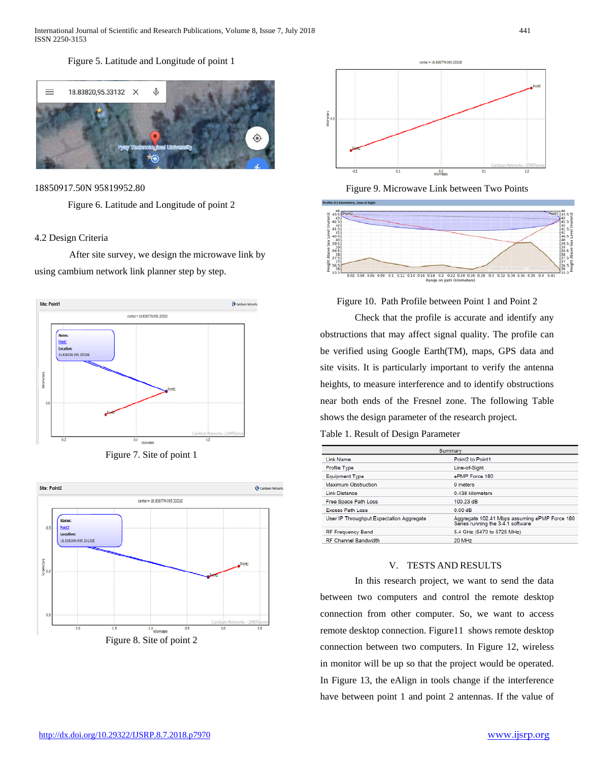International Journal of Scientific and Research Publications, Volume 8, Issue 7, July 2018 441 ISSN 2250-3153

## Figure 5. Latitude and Longitude of point 1



18850917.50N 95819952.80

Figure 6. Latitude and Longitude of point 2

## 4.2 Design Criteria

After site survey, we design the microwave link by using cambium network link planner step by step.



Figure 7. Site of point 1





Figure 9. Microwave Link between Two Points



## Figure 10. Path Profile between Point 1 and Point 2

Check that the profile is accurate and identify any obstructions that may affect signal quality. The profile can be verified using Google Earth(TM), maps, GPS data and site visits. It is particularly important to verify the antenna heights, to measure interference and to identify obstructions near both ends of the Fresnel zone. The following Table shows the design parameter of the research project.

## Table 1. Result of Design Parameter

| Summary                                  |                                                                                    |  |
|------------------------------------------|------------------------------------------------------------------------------------|--|
| Link Name                                | Point2 to Point1                                                                   |  |
| Profile Type                             | Line-of-Sight                                                                      |  |
| <b>Equipment Type</b>                    | ePMP Force 180                                                                     |  |
| Maximum Obstruction                      | 0 meters                                                                           |  |
| <b>Link Distance</b>                     | 0.438 kilometers                                                                   |  |
| Free Space Path Loss                     | 100.23 dB                                                                          |  |
| <b>Excess Path Loss</b>                  | 0.00 dB                                                                            |  |
| User IP Throughput Expectation Aggregate | Aggregate 102.41 Mbps assuming ePMP Force 180<br>Series running the 3.4.1 software |  |
| <b>RF Frequency Band</b>                 | 5.4 GHz (5470 to 5725 MHz)                                                         |  |
| <b>RF Channel Bandwidth</b>              | 20 MHz                                                                             |  |

## V. TESTS AND RESULTS

In this research project, we want to send the data between two computers and control the remote desktop connection from other computer. So, we want to access remote desktop connection. Figure11 shows remote desktop connection between two computers. In Figure 12, wireless in monitor will be up so that the project would be operated. In Figure 13, the eAlign in tools change if the interference have between point 1 and point 2 antennas. If the value of